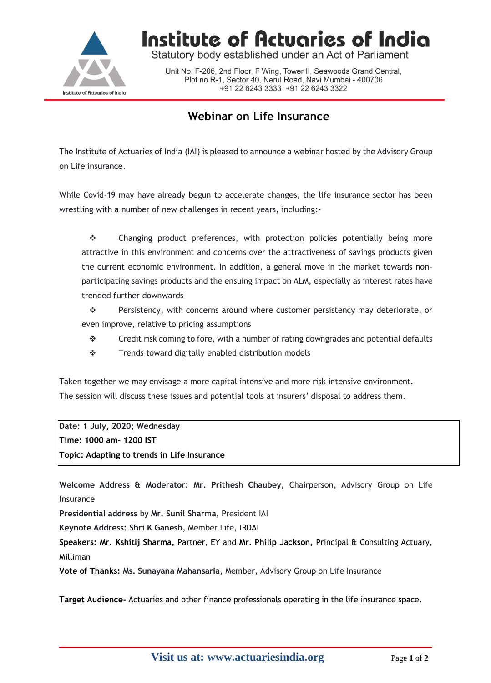

Institute of Actuaries of India

Statutory body established under an Act of Parliament

Unit No. F-206, 2nd Floor, F Wing, Tower II, Seawoods Grand Central, Plot no R-1, Sector 40, Nerul Road, Navi Mumbai - 400706 +91 22 6243 3333 +91 22 6243 3322

## **Webinar on Life Insurance**

The Institute of Actuaries of India (IAI) is pleased to announce a webinar hosted by the Advisory Group on Life insurance.

While Covid-19 may have already begun to accelerate changes, the life insurance sector has been wrestling with a number of new challenges in recent years, including:-

 $\div$  Changing product preferences, with protection policies potentially being more attractive in this environment and concerns over the attractiveness of savings products given the current economic environment. In addition, a general move in the market towards nonparticipating savings products and the ensuing impact on ALM, especially as interest rates have trended further downwards

 Persistency, with concerns around where customer persistency may deteriorate, or even improve, relative to pricing assumptions

- $\div$  Credit risk coming to fore, with a number of rating downgrades and potential defaults
- $\mathbf{\hat{P}}$  Trends toward digitally enabled distribution models

Taken together we may envisage a more capital intensive and more risk intensive environment. The session will discuss these issues and potential tools at insurers' disposal to address them.

**Date: 1 July, 2020; Wednesday Time: 1000 am- 1200 IST Topic: Adapting to trends in Life Insurance**

**Welcome Address & Moderator: Mr. Prithesh Chaubey,** Chairperson, Advisory Group on Life Insurance

**Presidential address** by **Mr. Sunil Sharma**, President IAI

**Keynote Address: Shri K Ganesh**, Member Life, IRDAI

**Speakers: Mr. Kshitij Sharma,** Partner, EY and **Mr. Philip Jackson,** Principal & Consulting Actuary, Milliman

**Vote of Thanks: Ms. Sunayana Mahansaria,** Member, Advisory Group on Life Insurance

**Target Audience-** Actuaries and other finance professionals operating in the life insurance space.